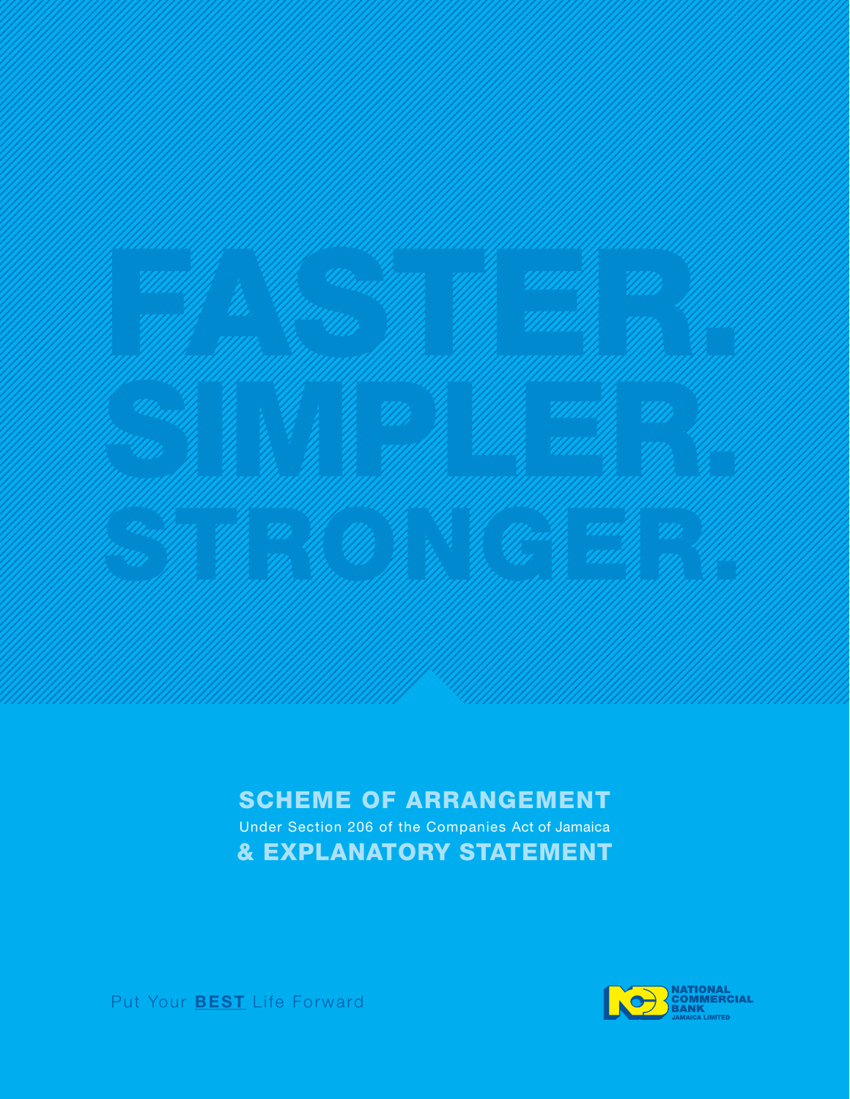

#### SCHEME OF ARRANGEMENT

Under Section 206 of the Companies Act of Jamaica & EXPLANATORY STATEMENT



Put Your **BEST** Life Forward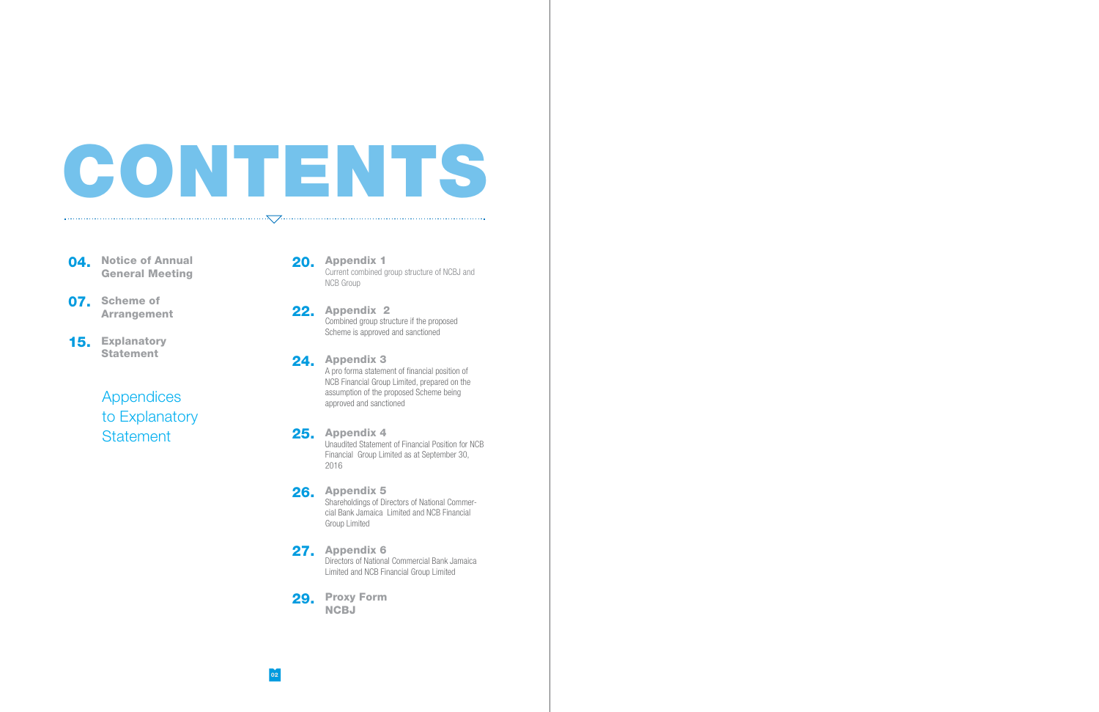# CONTENTS

 $\cdot \nabla$ .

**04.** Notice of Annual General Meeting

- 07. Scheme of **Arrangement**
- 15. Explanatory **Statement**

22. Appendix 2 Combined group structure if the proposed Scheme is approved and sanctioned

20. Appendix 1 Current combined group structure of NCBJ and NCB Group

24. Appendix 3 A pro forma statement of financial position of NCB Financial Group Limited, prepared on the assumption of the proposed Scheme being approved and sanctioned

26. Appendix 5 Shareholdings of Directors of National Commercial Bank Jamaica Limited and NCB Financial Group Limited

27. Appendix 6 Directors of National Commercial Bank Jamaica Limited and NCB Financial Group Limited

29. Proxy Form **NCBJ** 

Appendices to Explanatory **Statement** 

25. Appendix 4 Unaudited Statement of Financial Position for NCB Financial Group Limited as at September 30, 2016

02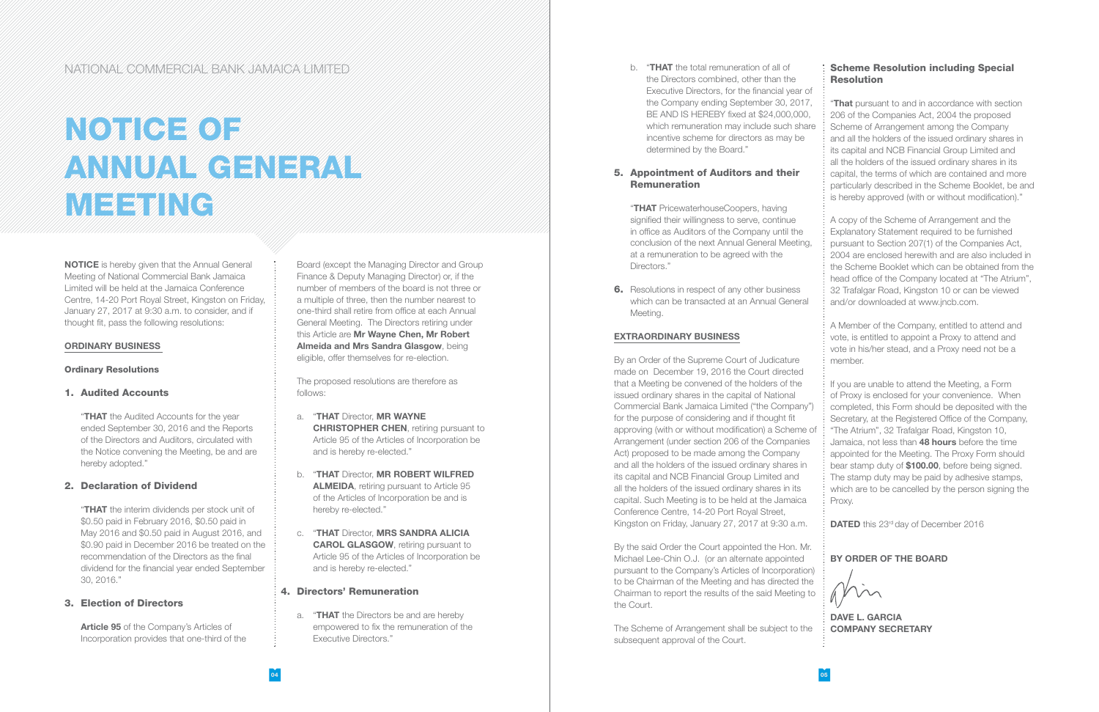NOTICE is hereby given that the Annual General Meeting of National Commercial Bank Jamaica Limited will be held at the Jamaica Conference Centre, 14-20 Port Royal Street, Kingston on Friday, January 27, 2017 at 9:30 a.m. to consider, and if thought fit, pass the following resolutions:

"THAT the Audited Accounts for the year ended September 30, 2016 and the Reports of the Directors and Auditors, circulated with the Notice convening the Meeting, be and are hereby adopted."

#### ORDINARY BUSINESS

#### Ordinary Resolutions

#### 1. Audited Accounts

**"THAT** the interim dividends per stock unit of \$0.50 paid in February 2016, \$0.50 paid in May 2016 and \$0.50 paid in August 2016, and \$0.90 paid in December 2016 be treated on the recommendation of the Directors as the final dividend for the financial year ended September 30, 2016."

Article 95 of the Company's Articles of Incorporation provides that one-third of the

#### 2. Declaration of Dividend

#### 3. Election of Directors

b. "THAT the total remuneration of all of the Directors combined, other than the Executive Directors, for the financial year of the Company ending September 30, 2017, BE AND IS HEREBY fixed at \$24,000,000, which remuneration may include such share incentive scheme for directors as may be determined by the Board."

Board (except the Managing Director and Group Finance & Deputy Managing Director) or, if the number of members of the board is not three or a multiple of three, then the number nearest to one-third shall retire from office at each Annual General Meeting. The Directors retiring under this Article are Mr Wayne Chen, Mr Robert Almeida and Mrs Sandra Glasgow, being eligible, offer themselves for re-election.

"THAT PricewaterhouseCoopers, having signified their willingness to serve, continue in office as Auditors of the Company until the conclusion of the next Annual General Meeting, at a remuneration to be agreed with the Directors."

**6.** Resolutions in respect of any other business which can be transacted at an Annual General Meeting.

The proposed resolutions are therefore as follows:

- a. "THAT Director, MR WAYNE **CHRISTOPHER CHEN, retiring pursuant to** Article 95 of the Articles of Incorporation be and is hereby re-elected."
- b. "THAT Director, MR ROBERT WILFRED ALMEIDA, retiring pursuant to Article 95 of the Articles of Incorporation be and is hereby re-elected."
- c. "THAT Director, MRS SANDRA ALICIA CAROL GLASGOW, retiring pursuant to Article 95 of the Articles of Incorporation be and is hereby re-elected."

#### 4. Directors' Remuneration

#### Scheme Resolution including Special **Resolution**

a. "THAT the Directors be and are hereby empowered to fix the remuneration of the Executive Directors."

"That pursuant to and in accordance with section 206 of the Companies Act, 2004 the proposed Scheme of Arrangement among the Company and all the holders of the issued ordinary shares in its capital and NCB Financial Group Limited and all the holders of the issued ordinary shares in its capital, the terms of which are contained and more particularly described in the Scheme Booklet, be and is hereby approved (with or without modification)."

#### 5. Appointment of Auditors and their Remuneration

#### EXTRAORDINARY BUSINESS

# NOTICE OF ANNUAL GENERAL MEETING

By an Order of the Supreme Court of Judicature made on December 19, 2016 the Court directed that a Meeting be convened of the holders of the issued ordinary shares in the capital of National Commercial Bank Jamaica Limited ("the Company") for the purpose of considering and if thought fit approving (with or without modification) a Scheme of Arrangement (under section 206 of the Companies Act) proposed to be made among the Company and all the holders of the issued ordinary shares in its capital and NCB Financial Group Limited and all the holders of the issued ordinary shares in its capital. Such Meeting is to be held at the Jamaica Conference Centre, 14-20 Port Royal Street, Kingston on Friday, January 27, 2017 at 9:30 a.m.

By the said Order the Court appointed the Hon. Mr. Michael Lee-Chin O.J. (or an alternate appointed pursuant to the Company's Articles of Incorporation) to be Chairman of the Meeting and has directed the Chairman to report the results of the said Meeting to the Court.

The Scheme of Arrangement shall be subject to the subsequent approval of the Court.

A copy of the Scheme of Arrangement and the Explanatory Statement required to be furnished pursuant to Section 207(1) of the Companies Act, 2004 are enclosed herewith and are also included in the Scheme Booklet which can be obtained from the head office of the Company located at "The Atrium", 32 Trafalgar Road, Kingston 10 or can be viewed and/or downloaded at www.jncb.com.

A Member of the Company, entitled to attend and vote, is entitled to appoint a Proxy to attend and vote in his/her stead, and a Proxy need not be a member.

If you are unable to attend the Meeting, a Form of Proxy is enclosed for your convenience. When completed, this Form should be deposited with the Secretary, at the Registered Office of the Company, "The Atrium", 32 Trafalgar Road, Kingston 10, Jamaica, not less than 48 hours before the time appointed for the Meeting. The Proxy Form should bear stamp duty of \$100.00, before being signed. The stamp duty may be paid by adhesive stamps, which are to be cancelled by the person signing the Proxy.

DATED this 23<sup>rd</sup> day of December 2016

#### BY ORDER OF THE BOARD

min

DAVE L. GARCIA COMPANY SECRETARY

#### NATIONAL COMMERCIAL BANK JAMAICA LIMITED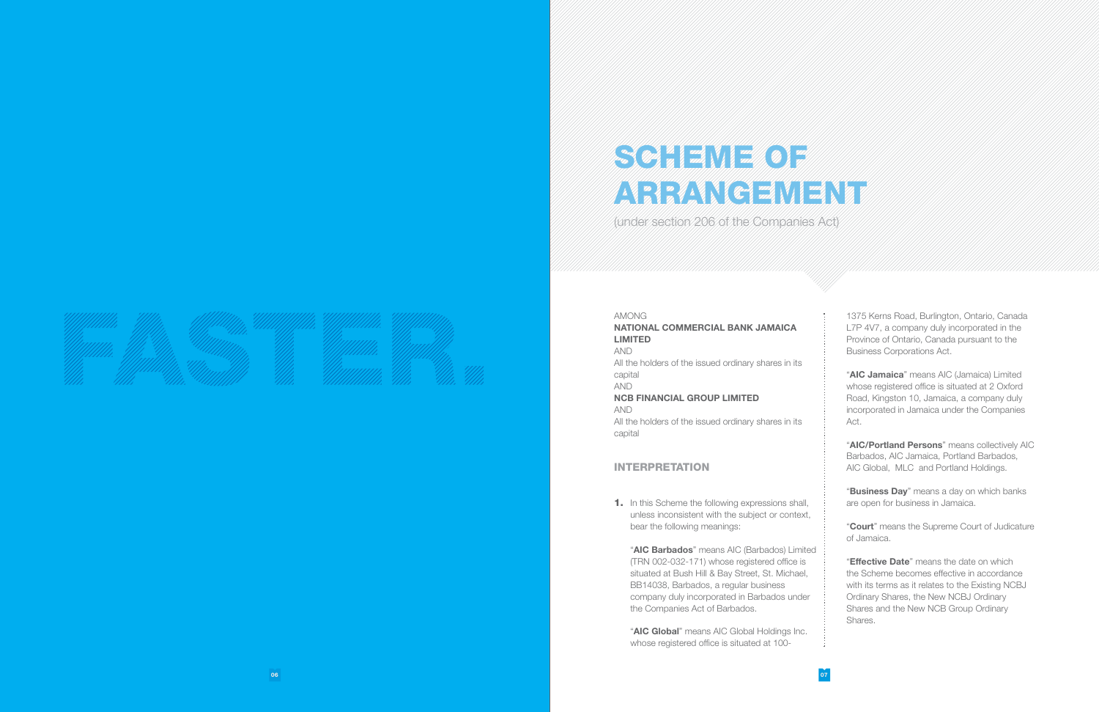# SCHEME OF ARRANGEMENT

(under section 206 of the Companies Act)

AMONG NATIONAL COMMERCIAL BANK JAMAICA LIMITED AND All the holders of the issued ordinary shares in its capital AND NCB FINANCIAL GROUP LIMITED AND All the holders of the issued ordinary shares in its capital

**1.** In this Scheme the following expressions shall, unless inconsistent with the subject or context, bear the following meanings:

#### INTERPRETATION

"AIC Barbados" means AIC (Barbados) Limited (TRN 002-032-171) whose registered office is situated at Bush Hill & Bay Street, St. Michael, BB14038, Barbados, a regular business company duly incorporated in Barbados under the Companies Act of Barbados.

"AIC Global" means AIC Global Holdings Inc. whose registered office is situated at 100-

"AIC Jamaica" means AIC (Jamaica) Limited whose registered office is situated at 2 Oxford Road, Kingston 10, Jamaica, a company duly incorporated in Jamaica under the Companies Act.

"AIC/Portland Persons" means collectively AIC Barbados, AIC Jamaica, Portland Barbados, AIC Global, MLC and Portland Holdings.

"Business Day" means a day on which banks are open for business in Jamaica.

**"Effective Date**" means the date on which the Scheme becomes effective in accordance with its terms as it relates to the Existing NCBJ Ordinary Shares, the New NCBJ Ordinary Shares and the New NCB Group Ordinary Shares.

1375 Kerns Road, Burlington, Ontario, Canada L7P 4V7, a company duly incorporated in the Province of Ontario, Canada pursuant to the Business Corporations Act.

"Court" means the Supreme Court of Judicature of Jamaica.

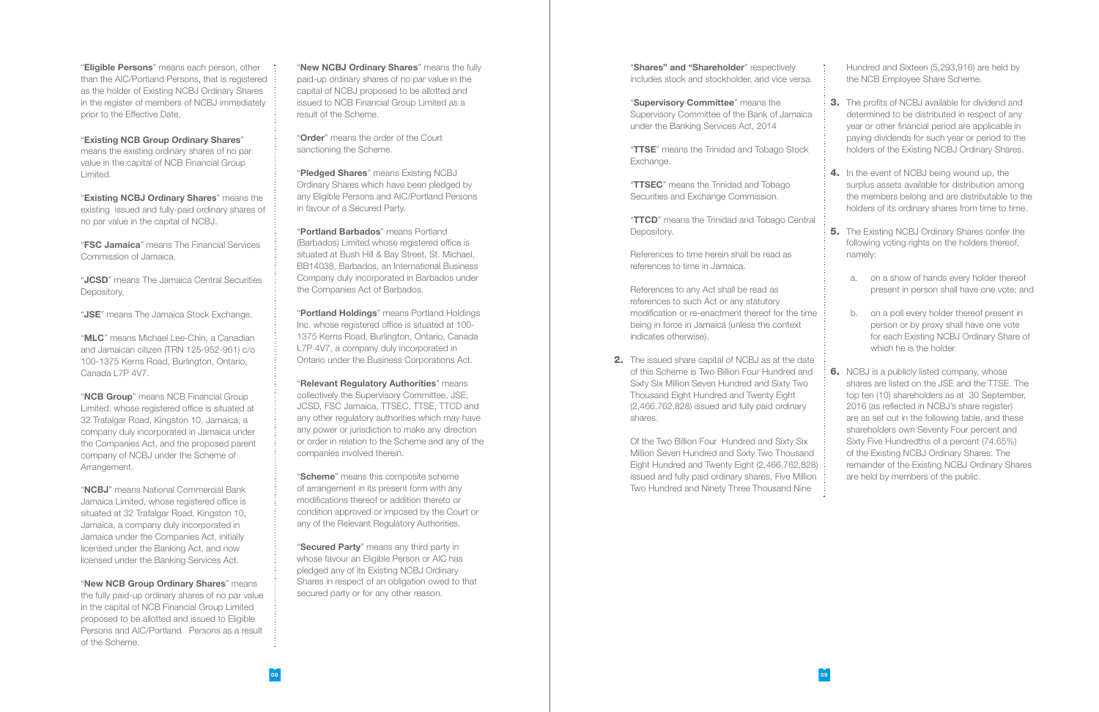"**Eligible Persons**" means each person, other than the AIC/Portland Persons, that is registered as the holder of Existing NCBJ Ordinary Shares in the register of members of NCBJ immediately prior to the Effective Date.

#### "Existing NCB Group Ordinary Shares"

"Existing NCBJ Ordinary Shares" means the existing issued and fully-paid ordinary shares of no par value in the capital of NCBJ.

means the existing ordinary shares of no par value in the capital of NCB Financial Group Limited.

"**MLC**" means Michael Lee-Chin, a Canadian and Jamaican citizen (TRN 125-952-961) c/o 100-1375 Kerns Road, Burlington, Ontario, Canada L7P 4V7.

"FSC Jamaica" means The Financial Services Commission of Jamaica.

"NCB Group" means NCB Financial Group Limited, whose registered office is situated at 32 Trafalgar Road, Kingston 10, Jamaica, a company duly incorporated in Jamaica under the Companies Act, and the proposed parent company of NCBJ under the Scheme of Arrangement.

"JCSD" means The Jamaica Central Securities Depository.

"JSE" means The Jamaica Stock Exchange.

"NCBJ" means National Commercial Bank Jamaica Limited, whose registered office is situated at 32 Trafalgar Road, Kingston 10, Jamaica, a company duly incorporated in Jamaica under the Companies Act, initially licensed under the Banking Act, and now licensed under the Banking Services Act.

"New NCB Group Ordinary Shares" means the fully paid-up ordinary shares of no par value in the capital of NCB Financial Group Limited proposed to be allotted and issued to Eligible Persons and AIC/Portland Persons as a result of the Scheme.

"New NCBJ Ordinary Shares" means the fully paid-up ordinary shares of no par value in the capital of NCBJ proposed to be allotted and issued to NCB Financial Group Limited as a result of the Scheme.

"Order" means the order of the Court sanctioning the Scheme.

"Pledged Shares" means Existing NCBJ Ordinary Shares which have been pledged by any Eligible Persons and AIC/Portland Persons in favour of a Secured Party.

"Portland Holdings" means Portland Holdings Inc. whose registered office is situated at 100- 1375 Kerns Road, Burlington, Ontario, Canada L7P 4V7, a company duly incorporated in Ontario under the Business Corporations Act.

"Relevant Regulatory Authorities" means collectively the Supervisory Committee, JSE, JCSD, FSC Jamaica, TTSEC, TTSE, TTCD and any other regulatory authorities which may have any power or jurisdiction to make any direction or order in relation to the Scheme and any of the companies involved therein.

"Scheme" means this composite scheme of arrangement in its present form with any modifications thereof or addition thereto or condition approved or imposed by the Court or any of the Relevant Regulatory Authorities.

"Secured Party" means any third party in whose favour an Eligible Person or AIC has pledged any of its Existing NCBJ Ordinary Shares in respect of an obligation owed to that secured party or for any other reason.

"Shares" and "Shareholder" respectively includes stock and stockholder, and vice versa.

"Supervisory Committee" means the Supervisory Committee of the Bank of Jamaica under the Banking Services Act, 2014

"TTSE" means the Trinidad and Tobago Stock Exchange.

"TTCD" means the Trinidad and Tobago Central Depository.

**2.** The issued share capital of NCBJ as at the date of this Scheme is Two Billion Four Hundred an Sixty Six Million Seven Hundred and Sixty Two Thousand Eight Hundred and Twenty Eight (2,466,762,828) issued and fully paid ordinary shares.

"Portland Barbados" means Portland (Barbados) Limited whose registered office is situated at Bush Hill & Bay Street, St. Michael, BB14038, Barbados, an International Business Company duly incorporated in Barbados under the Companies Act of Barbados.

"TTSEC" means the Trinidad and Tobago Securities and Exchange Commission.

References to time herein shall be read as references to time in Jamaica.

References to any Act shall be read as references to such Act or any statutory modification or re-enactment thereof for the tire being in force in Jamaica (unless the context indicates otherwise).

Of the Two Billion Four Hundred and Sixty Six Million Seven Hundred and Sixty Two Thousan Eight Hundred and Twenty Eight (2,466,762,828) issued and fully paid ordinary shares, Five Million Two Hundred and Ninety Three Thousand Nine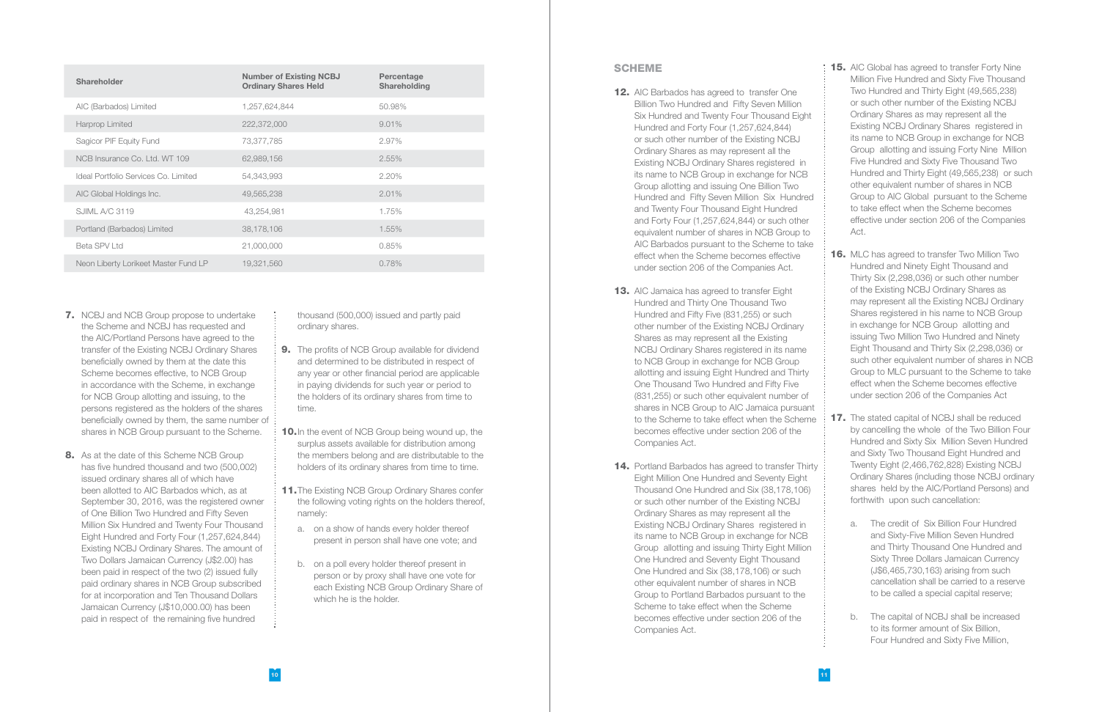- **7.** NCBJ and NCB Group propose to undertake the Scheme and NCBJ has requested and the AIC/Portland Persons have agreed to the transfer of the Existing NCBJ Ordinary Shares beneficially owned by them at the date this Scheme becomes effective, to NCB Group in accordance with the Scheme, in exchange for NCB Group allotting and issuing, to the persons registered as the holders of the shares beneficially owned by them, the same number of shares in NCB Group pursuant to the Scheme.
- 8. As at the date of this Scheme NCB Group has five hundred thousand and two (500,002) issued ordinary shares all of which have been allotted to AIC Barbados which, as at September 30, 2016, was the registered owner of One Billion Two Hundred and Fifty Seven Million Six Hundred and Twenty Four Thousand Eight Hundred and Forty Four (1,257,624,844) Existing NCBJ Ordinary Shares. The amount of Two Dollars Jamaican Currency (J\$2.00) has been paid in respect of the two (2) issued fully paid ordinary shares in NCB Group subscribed for at incorporation and Ten Thousand Dollars Jamaican Currency (J\$10,000.00) has been paid in respect of the remaining five hundred
- **9.** The profits of NCB Group available for dividend and determined to be distributed in respect of any year or other financial period are applicable in paying dividends for such year or period to the holders of its ordinary shares from time to time.
- **10.** In the event of NCB Group being wound up, the surplus assets available for distribution among the members belong and are distributable to the holders of its ordinary shares from time to time.
- 11. The Existing NCB Group Ordinary Shares confer the following voting rights on the holders thereof, namely:
	- a. on a show of hands every holder thereof present in person shall have one vote; and
	- b. on a poll every holder thereof present in person or by proxy shall have one vote for each Existing NCB Group Ordinary Share of which he is the holder.

thousand (500,000) issued and partly paid ordinary shares.

- **12.** AIC Barbados has agreed to transfer One Billion Two Hundred and Fifty Seven Million Six Hundred and Twenty Four Thousand Eight Hundred and Forty Four (1,257,624,844) or such other number of the Existing NCBJ Ordinary Shares as may represent all the Existing NCBJ Ordinary Shares registered in its name to NCB Group in exchange for NCB Group allotting and issuing One Billion Two Hundred and Fifty Seven Million Six Hundred and Twenty Four Thousand Eight Hundred and Forty Four (1,257,624,844) or such other equivalent number of shares in NCB Group to AIC Barbados pursuant to the Scheme to take effect when the Scheme becomes effective under section 206 of the Companies Act.
- **13.** AIC Jamaica has agreed to transfer Eight Hundred and Thirty One Thousand Two Hundred and Fifty Five (831,255) or such other number of the Existing NCBJ Ordinary Shares as may represent all the Existing NCBJ Ordinary Shares registered in its name to NCB Group in exchange for NCB Group allotting and issuing Eight Hundred and Thirty One Thousand Two Hundred and Fifty Five (831,255) or such other equivalent number of shares in NCB Group to AIC Jamaica pursuant to the Scheme to take effect when the Scheme becomes effective under section 206 of the Companies Act.
- **14.** Portland Barbados has agreed to transfer Thirty Eight Million One Hundred and Seventy Eight Thousand One Hundred and Six (38,178,106) or such other number of the Existing NCBJ Ordinary Shares as may represent all the Existing NCBJ Ordinary Shares registered in its name to NCB Group in exchange for NCB Group allotting and issuing Thirty Eight Million One Hundred and Seventy Eight Thousand One Hundred and Six (38,178,106) or such other equivalent number of shares in NCB Group to Portland Barbados pursuant to the Scheme to take effect when the Scheme becomes effective under section 206 of the Companies Act.

| <b>Shareholder</b>                   | <b>Number of Existing NCBJ</b><br><b>Ordinary Shares Held</b> | Percentage<br><b>Shareholding</b> |
|--------------------------------------|---------------------------------------------------------------|-----------------------------------|
| AIC (Barbados) Limited               | 1,257,624,844                                                 | 50.98%                            |
| Harprop Limited                      | 222,372,000                                                   | $9.01\%$                          |
| Sagicor PIF Equity Fund              | 73,377,785                                                    | 2.97%                             |
| NCB Insurance Co. Ltd. WT 109        | 62,989,156                                                    | 2.55%                             |
| Ideal Portfolio Services Co. Limited | 54,343,993                                                    | 2.20%                             |
| AIC Global Holdings Inc.             | 49,565,238                                                    | 2.01%                             |
| SJIML A/C 3119                       | 43,254,981                                                    | 1.75%                             |
| Portland (Barbados) Limited          | 38,178,106                                                    | 1.55%                             |
| Beta SPV Ltd                         | 21,000,000                                                    | 0.85%                             |
| Neon Liberty Lorikeet Master Fund LP | 19,321,560                                                    | 0.78%                             |

**15.** AIC Global has agreed to transfer Forty Nine Million Five Hundred and Sixty Five Thousand Two Hundred and Thirty Eight (49,565,238) or such other number of the Existing NCBJ Ordinary Shares as may represent all the Existing NCBJ Ordinary Shares registered in its name to NCB Group in exchange for NCB Group allotting and issuing Forty Nine Million Five Hundred and Sixty Five Thousand Two Hundred and Thirty Eight (49,565,238) or such other equivalent number of shares in NCB Group to AIC Global pursuant to the Scheme to take effect when the Scheme becomes effective under section 206 of the Companies Act.

#### SCHEME

**16.** MLC has agreed to transfer Two Million Two Hundred and Ninety Eight Thousand and Thirty Six (2,298,036) or such other number of the Existing NCBJ Ordinary Shares as may represent all the Existing NCBJ Ordinary Shares registered in his name to NCB Group in exchange for NCB Group allotting and issuing Two Million Two Hundred and Ninety Eight Thousand and Thirty Six (2,298,036) or such other equivalent number of shares in NCB Group to MLC pursuant to the Scheme to take effect when the Scheme becomes effective under section 206 of the Companies Act

**17.** The stated capital of NCBJ shall be reduced by cancelling the whole of the Two Billion Four Hundred and Sixty Six Million Seven Hundred and Sixty Two Thousand Eight Hundred and Twenty Eight (2,466,762,828) Existing NCBJ Ordinary Shares (including those NCBJ ordinary shares held by the AIC/Portland Persons) and forthwith upon such cancellation:

- a. The credit of Six Billion Four Hundred and Sixty-Five Million Seven Hundred and Thirty Thousand One Hundred and Sixty Three Dollars Jamaican Currency (J\$6,465,730,163) arising from such cancellation shall be carried to a reserve to be called a special capital reserve;
- b. The capital of NCBJ shall be increased to its former amount of Six Billion, Four Hundred and Sixty Five Million,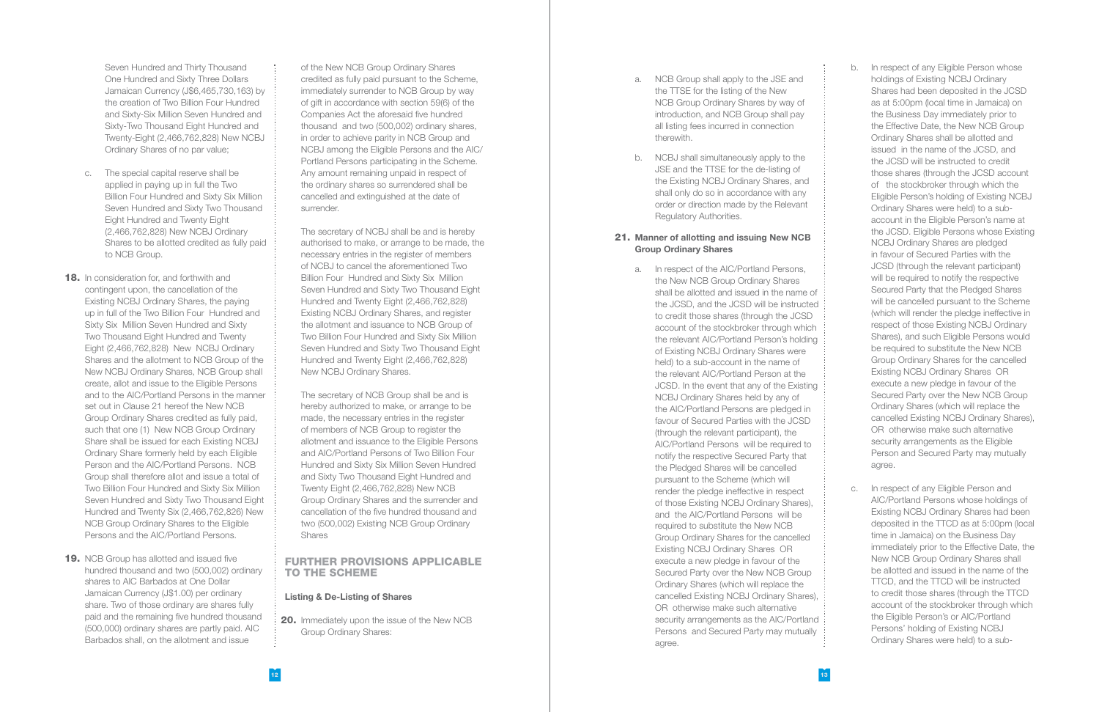Seven Hundred and Thirty Thousand One Hundred and Sixty Three Dollars Jamaican Currency (J\$6,465,730,163) by the creation of Two Billion Four Hundred and Sixty-Six Million Seven Hundred and Sixty-Two Thousand Eight Hundred and Twenty-Eight (2,466,762,828) New NCBJ Ordinary Shares of no par value;

- c. The special capital reserve shall be applied in paying up in full the Two Billion Four Hundred and Sixty Six Million Seven Hundred and Sixty Two Thousand Eight Hundred and Twenty Eight (2,466,762,828) New NCBJ Ordinary Shares to be allotted credited as fully paid to NCB Group.
- **18.** In consideration for, and forthwith and contingent upon, the cancellation of the Existing NCBJ Ordinary Shares, the paying up in full of the Two Billion Four Hundred and Sixty Six Million Seven Hundred and Sixty Two Thousand Eight Hundred and Twenty Eight (2,466,762,828) New NCBJ Ordinary Shares and the allotment to NCB Group of the New NCBJ Ordinary Shares, NCB Group shall create, allot and issue to the Eligible Persons and to the AIC/Portland Persons in the manner set out in Clause 21 hereof the New NCB Group Ordinary Shares credited as fully paid, such that one (1) New NCB Group Ordinary Share shall be issued for each Existing NCBJ Ordinary Share formerly held by each Eligible Person and the AIC/Portland Persons. NCB Group shall therefore allot and issue a total of Two Billion Four Hundred and Sixty Six Million Seven Hundred and Sixty Two Thousand Eight Hundred and Twenty Six (2,466,762,826) New NCB Group Ordinary Shares to the Eligible Persons and the AIC/Portland Persons.
- **19.** NCB Group has allotted and issued five hundred thousand and two (500,002) ordinary shares to AIC Barbados at One Dollar Jamaican Currency (J\$1.00) per ordinary share. Two of those ordinary are shares fully paid and the remaining five hundred thousand (500,000) ordinary shares are partly paid. AIC Barbados shall, on the allotment and issue

20. Immediately upon the issue of the New NCB Group Ordinary Shares:

of the New NCB Group Ordinary Shares credited as fully paid pursuant to the Scheme, immediately surrender to NCB Group by way of gift in accordance with section 59(6) of the Companies Act the aforesaid five hundred thousand and two (500,002) ordinary shares, in order to achieve parity in NCB Group and NCBJ among the Eligible Persons and the AIC/ Portland Persons participating in the Scheme. Any amount remaining unpaid in respect of the ordinary shares so surrendered shall be cancelled and extinguished at the date of surrender.

The secretary of NCBJ shall be and is hereby authorised to make, or arrange to be made, the necessary entries in the register of members of NCBJ to cancel the aforementioned Two Billion Four Hundred and Sixty Six Million Seven Hundred and Sixty Two Thousand Eight Hundred and Twenty Eight (2,466,762,828) Existing NCBJ Ordinary Shares, and register the allotment and issuance to NCB Group of Two Billion Four Hundred and Sixty Six Million Seven Hundred and Sixty Two Thousand Eight Hundred and Twenty Eight (2,466,762,828) New NCBJ Ordinary Shares.

The secretary of NCB Group shall be and is hereby authorized to make, or arrange to be made, the necessary entries in the register of members of NCB Group to register the allotment and issuance to the Eligible Persons and AIC/Portland Persons of Two Billion Four Hundred and Sixty Six Million Seven Hundred and Sixty Two Thousand Eight Hundred and Twenty Eight (2,466,762,828) New NCB Group Ordinary Shares and the surrender and cancellation of the five hundred thousand and two (500,002) Existing NCB Group Ordinary Shares

#### FURTHER PROVISIONS APPLICABLE TO THE SCHEME

#### Listing & De-Listing of Shares

- a. NCB Group shall apply to the JSE and the TTSE for the listing of the New NCB Group Ordinary Shares by way of introduction, and NCB Group shall pay all listing fees incurred in connection therewith.
- b. NCBJ shall simultaneously apply to the JSE and the TTSE for the de-listing of the Existing NCBJ Ordinary Shares, and shall only do so in accordance with any order or direction made by the Relevant Regulatory Authorities.

#### 21. Manner of allotting and issuing New NCB Group Ordinary Shares

a. In respect of the AIC/Portland Persons, the New NCB Group Ordinary Shares shall be allotted and issued in the name of the JCSD, and the JCSD will be instructed to credit those shares (through the JCSD account of the stockbroker through which the relevant AIC/Portland Person's holding of Existing NCBJ Ordinary Shares were held) to a sub-account in the name of the relevant AIC/Portland Person at the JCSD. In the event that any of the Existing NCBJ Ordinary Shares held by any of the AIC/Portland Persons are pledged in favour of Secured Parties with the JCSD (through the relevant participant), the AIC/Portland Persons will be required to notify the respective Secured Party that the Pledged Shares will be cancelled pursuant to the Scheme (which will render the pledge ineffective in respect of those Existing NCBJ Ordinary Shares), and the AIC/Portland Persons will be required to substitute the New NCB Group Ordinary Shares for the cancelled Existing NCBJ Ordinary Shares OR execute a new pledge in favour of the Secured Party over the New NCB Group Ordinary Shares (which will replace the cancelled Existing NCBJ Ordinary Shares), OR otherwise make such alternative security arrangements as the AIC/Portland Persons and Secured Party may mutually agree.

- b. In respect of any Eligible Person whose holdings of Existing NCBJ Ordinary Shares had been deposited in the JCSD as at 5:00pm (local time in Jamaica) on the Business Day immediately prior to the Effective Date, the New NCB Group Ordinary Shares shall be allotted and issued in the name of the JCSD, and the JCSD will be instructed to credit those shares (through the JCSD account of the stockbroker through which the Eligible Person's holding of Existing NCBJ Ordinary Shares were held) to a subaccount in the Eligible Person's name at the JCSD. Eligible Persons whose Existing NCBJ Ordinary Shares are pledged in favour of Secured Parties with the JCSD (through the relevant participant) will be required to notify the respective Secured Party that the Pledged Shares will be cancelled pursuant to the Scheme (which will render the pledge ineffective in respect of those Existing NCBJ Ordinary Shares), and such Eligible Persons would be required to substitute the New NCB Group Ordinary Shares for the cancelled Existing NCBJ Ordinary Shares OR execute a new pledge in favour of the Secured Party over the New NCB Group Ordinary Shares (which will replace the cancelled Existing NCBJ Ordinary Shares), OR otherwise make such alternative security arrangements as the Eligible Person and Secured Party may mutually agree.
- c. In respect of any Eligible Person and AIC/Portland Persons whose holdings of Existing NCBJ Ordinary Shares had been deposited in the TTCD as at 5:00pm (local time in Jamaica) on the Business Day immediately prior to the Effective Date, the New NCB Group Ordinary Shares shall be allotted and issued in the name of the TTCD, and the TTCD will be instructed to credit those shares (through the TTCD account of the stockbroker through which the Eligible Person's or AIC/Portland Persons' holding of Existing NCBJ Ordinary Shares were held) to a sub-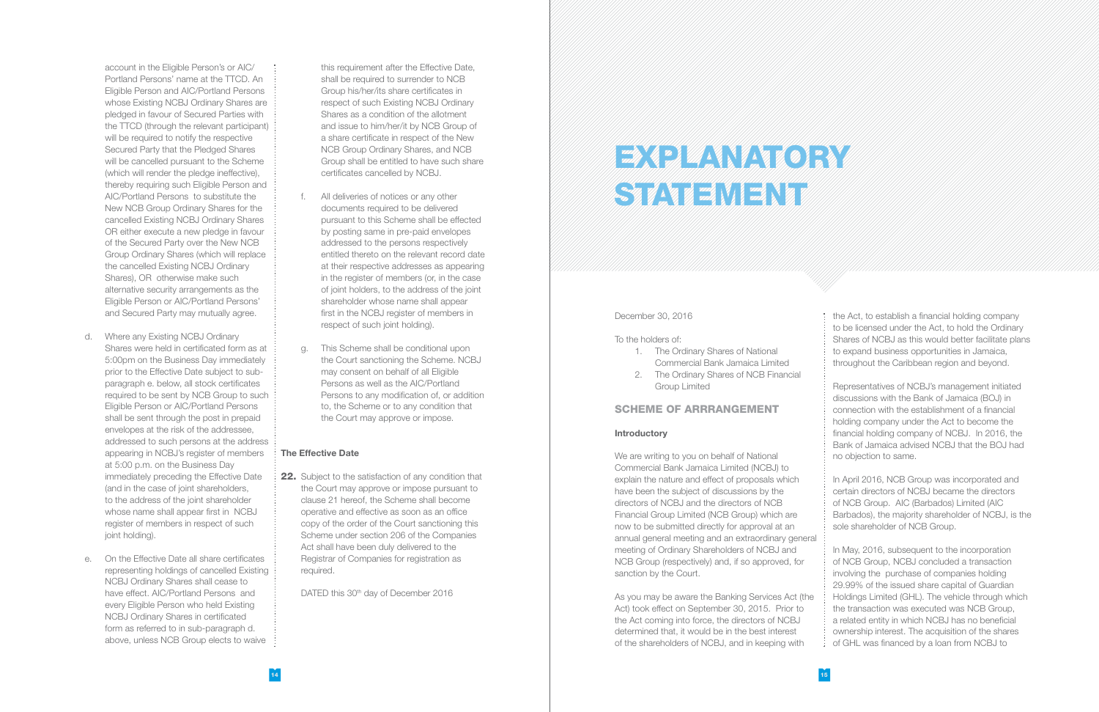account in the Eligible Person's or AIC/ Portland Persons' name at the TTCD. An Eligible Person and AIC/Portland Persons whose Existing NCBJ Ordinary Shares are pledged in favour of Secured Parties with the TTCD (through the relevant participant) will be required to notify the respective Secured Party that the Pledged Shares will be cancelled pursuant to the Scheme (which will render the pledge ineffective), thereby requiring such Eligible Person and AIC/Portland Persons to substitute the New NCB Group Ordinary Shares for the cancelled Existing NCBJ Ordinary Shares OR either execute a new pledge in favour of the Secured Party over the New NCB Group Ordinary Shares (which will replace the cancelled Existing NCBJ Ordinary Shares), OR otherwise make such alternative security arrangements as the Eligible Person or AIC/Portland Persons' and Secured Party may mutually agree.

- d. Where any Existing NCBJ Ordinary Shares were held in certificated form as at 5:00pm on the Business Day immediately prior to the Effective Date subject to subparagraph e. below, all stock certificates required to be sent by NCB Group to such Eligible Person or AIC/Portland Persons shall be sent through the post in prepaid envelopes at the risk of the addressee, addressed to such persons at the address appearing in NCBJ's register of members at 5:00 p.m. on the Business Day immediately preceding the Effective Date (and in the case of joint shareholders, to the address of the joint shareholder whose name shall appear first in NCBJ register of members in respect of such ioint holding).
- e. On the Effective Date all share certificates representing holdings of cancelled Existing NCBJ Ordinary Shares shall cease to have effect. AIC/Portland Persons and every Eligible Person who held Existing NCBJ Ordinary Shares in certificated form as referred to in sub-paragraph d. above, unless NCB Group elects to waive

22. Subject to the satisfaction of any condition that the Court may approve or impose pursuant to clause 21 hereof, the Scheme shall become operative and effective as soon as an office copy of the order of the Court sanctioning this Scheme under section 206 of the Companies Act shall have been duly delivered to the Registrar of Companies for registration as required.

DATED this 30<sup>th</sup> day of December 2016

# EXPLANATORY STATEMENT

this requirement after the Effective Date, shall be required to surrender to NCB Group his/her/its share certificates in respect of such Existing NCBJ Ordinary Shares as a condition of the allotment and issue to him/her/it by NCB Group of a share certificate in respect of the New NCB Group Ordinary Shares, and NCB Group shall be entitled to have such share certificates cancelled by NCBJ.

- f. All deliveries of notices or any other documents required to be delivered pursuant to this Scheme shall be effected by posting same in pre-paid envelopes addressed to the persons respectively entitled thereto on the relevant record date at their respective addresses as appearing in the register of members (or, in the case of joint holders, to the address of the joint shareholder whose name shall appear first in the NCBJ register of members in respect of such joint holding).
- g. This Scheme shall be conditional upon the Court sanctioning the Scheme. NCBJ may consent on behalf of all Eligible Persons as well as the AIC/Portland Persons to any modification of, or addition to, the Scheme or to any condition that the Court may approve or impose.

#### The Effective Date

December 30, 2016

#### To the holders of:

- 1. The Ordinary Shares of National Commercial Bank Jamaica Limited
- 2. The Ordinary Shares of NCB Financial Group Limited

#### SCHEME OF ARRRANGEMENT

#### Introductory

We are writing to you on behalf of National Commercial Bank Jamaica Limited (NCBJ) to explain the nature and effect of proposals which have been the subject of discussions by the directors of NCBJ and the directors of NCB Financial Group Limited (NCB Group) which are now to be submitted directly for approval at an annual general meeting and an extraordinary general meeting of Ordinary Shareholders of NCBJ and NCB Group (respectively) and, if so approved, for sanction by the Court.

As you may be aware the Banking Services Act (the Act) took effect on September 30, 2015. Prior to the Act coming into force, the directors of NCBJ determined that, it would be in the best interest of the shareholders of NCBJ, and in keeping with

the Act, to establish a financial holding company to be licensed under the Act, to hold the Ordinary Shares of NCBJ as this would better facilitate plans to expand business opportunities in Jamaica, throughout the Caribbean region and beyond.

Representatives of NCBJ's management initiated discussions with the Bank of Jamaica (BOJ) in connection with the establishment of a financial holding company under the Act to become the financial holding company of NCBJ. In 2016, the Bank of Jamaica advised NCBJ that the BOJ had no objection to same.

In April 2016, NCB Group was incorporated and certain directors of NCBJ became the directors of NCB Group. AIC (Barbados) Limited (AIC Barbados), the majority shareholder of NCBJ, is the sole shareholder of NCB Group.

In May, 2016, subsequent to the incorporation of NCB Group, NCBJ concluded a transaction involving the purchase of companies holding 29.99% of the issued share capital of Guardian Holdings Limited (GHL). The vehicle through which the transaction was executed was NCB Group, a related entity in which NCBJ has no beneficial ownership interest. The acquisition of the shares of GHL was financed by a loan from NCBJ to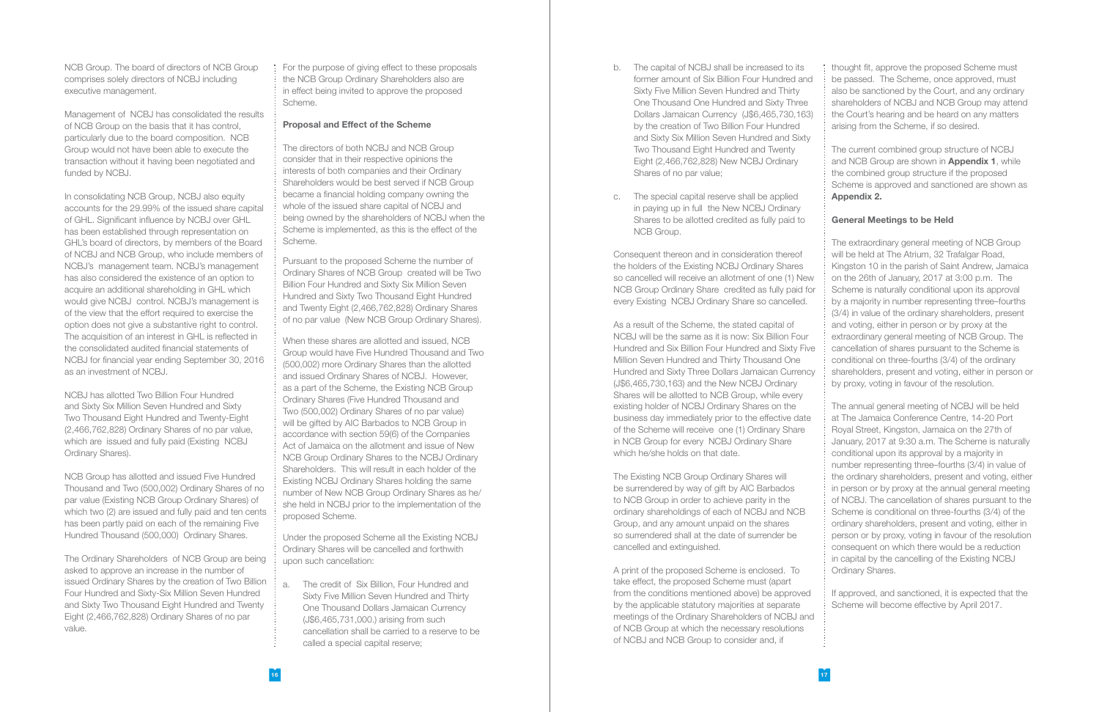NCB Group. The board of directors of NCB Group comprises solely directors of NCBJ including executive management.

Management of NCBJ has consolidated the results of NCB Group on the basis that it has control, particularly due to the board composition. NCB Group would not have been able to execute the transaction without it having been negotiated and funded by NCBJ.

In consolidating NCB Group, NCBJ also equity accounts for the 29.99% of the issued share capital of GHL. Significant influence by NCBJ over GHL has been established through representation on GHL's board of directors, by members of the Board of NCBJ and NCB Group, who include members of NCBJ's management team. NCBJ's management has also considered the existence of an option to acquire an additional shareholding in GHL which would give NCBJ control. NCBJ's management is of the view that the effort required to exercise the option does not give a substantive right to control. The acquisition of an interest in GHL is reflected in the consolidated audited financial statements of NCBJ for financial year ending September 30, 2016 as an investment of NCBJ.

NCBJ has allotted Two Billion Four Hundred and Sixty Six Million Seven Hundred and Sixty Two Thousand Eight Hundred and Twenty-Eight (2,466,762,828) Ordinary Shares of no par value, which are issued and fully paid (Existing NCBJ Ordinary Shares).

NCB Group has allotted and issued Five Hundred Thousand and Two (500,002) Ordinary Shares of no par value (Existing NCB Group Ordinary Shares) of which two (2) are issued and fully paid and ten cents has been partly paid on each of the remaining Five Hundred Thousand (500,000) Ordinary Shares.

The Ordinary Shareholders of NCB Group are being asked to approve an increase in the number of issued Ordinary Shares by the creation of Two Billion Four Hundred and Sixty-Six Million Seven Hundred and Sixty Two Thousand Eight Hundred and Twenty Eight (2,466,762,828) Ordinary Shares of no par value.

For the purpose of giving effect to these proposals the NCB Group Ordinary Shareholders also are in effect being invited to approve the proposed Scheme.

#### Proposal and Effect of the Scheme

The directors of both NCBJ and NCB Group consider that in their respective opinions the interests of both companies and their Ordinary Shareholders would be best served if NCB Group became a financial holding company owning the whole of the issued share capital of NCBJ and being owned by the shareholders of NCBJ when the Scheme is implemented, as this is the effect of the Scheme.

Pursuant to the proposed Scheme the number of Ordinary Shares of NCB Group created will be Two Billion Four Hundred and Sixty Six Million Seven Hundred and Sixty Two Thousand Eight Hundred and Twenty Eight (2,466,762,828) Ordinary Shares of no par value (New NCB Group Ordinary Shares).

When these shares are allotted and issued, NCB Group would have Five Hundred Thousand and Two (500,002) more Ordinary Shares than the allotted and issued Ordinary Shares of NCBJ. However, as a part of the Scheme, the Existing NCB Group Ordinary Shares (Five Hundred Thousand and Two (500,002) Ordinary Shares of no par value) will be gifted by AIC Barbados to NCB Group in accordance with section 59(6) of the Companies Act of Jamaica on the allotment and issue of New NCB Group Ordinary Shares to the NCBJ Ordinary Shareholders. This will result in each holder of the Existing NCBJ Ordinary Shares holding the same number of New NCB Group Ordinary Shares as he/ she held in NCBJ prior to the implementation of the proposed Scheme.

Under the proposed Scheme all the Existing NCBJ Ordinary Shares will be cancelled and forthwith upon such cancellation:

a. The credit of Six Billion, Four Hundred and Sixty Five Million Seven Hundred and Thirty One Thousand Dollars Jamaican Currency (J\$6,465,731,000.) arising from such cancellation shall be carried to a reserve to be called a special capital reserve;

- b. The capital of NCBJ shall be increased to its former amount of Six Billion Four Hundred and Sixty Five Million Seven Hundred and Thirty One Thousand One Hundred and Sixty Three Dollars Jamaican Currency (J\$6,465,730,163) by the creation of Two Billion Four Hundred and Sixty Six Million Seven Hundred and Sixty Two Thousand Eight Hundred and Twenty Eight (2,466,762,828) New NCBJ Ordinary Shares of no par value;
- c. The special capital reserve shall be applied in paying up in full the New NCBJ Ordinary Shares to be allotted credited as fully paid to NCB Group.

Consequent thereon and in consideration thereof the holders of the Existing NCBJ Ordinary Shares so cancelled will receive an allotment of one (1) New NCB Group Ordinary Share credited as fully paid for every Existing NCBJ Ordinary Share so cancelled.

As a result of the Scheme, the stated capital of NCBJ will be the same as it is now: Six Billion Four Hundred and Six Billion Four Hundred and Sixty Five Million Seven Hundred and Thirty Thousand One Hundred and Sixty Three Dollars Jamaican Currency (J\$6,465,730,163) and the New NCBJ Ordinary Shares will be allotted to NCB Group, while every existing holder of NCBJ Ordinary Shares on the business day immediately prior to the effective date of the Scheme will receive one (1) Ordinary Share in NCB Group for every NCBJ Ordinary Share which he/she holds on that date.

The Existing NCB Group Ordinary Shares will be surrendered by way of gift by AIC Barbados to NCB Group in order to achieve parity in the ordinary shareholdings of each of NCBJ and NCB Group, and any amount unpaid on the shares so surrendered shall at the date of surrender be cancelled and extinguished.

thought fit, approve the proposed Scheme must be passed. The Scheme, once approved, must also be sanctioned by the Court, and any ordinary shareholders of NCBJ and NCB Group may attend the Court's hearing and be heard on any matters arising from the Scheme, if so desired.

The current combined group structure of NCBJ and NCB Group are shown in **Appendix 1**, while the combined group structure if the proposed Scheme is approved and sanctioned are shown as Appendix 2.

#### General Meetings to be Held

A print of the proposed Scheme is enclosed. To take effect, the proposed Scheme must (apart from the conditions mentioned above) be approved by the applicable statutory majorities at separate meetings of the Ordinary Shareholders of NCBJ and of NCB Group at which the necessary resolutions of NCBJ and NCB Group to consider and, if Ordinary Shares. If approved, and sanctioned, it is expected that the Scheme will become effective by April 2017.

The extraordinary general meeting of NCB Group will be held at The Atrium, 32 Trafalgar Road, Kingston 10 in the parish of Saint Andrew, Jamaica on the 26th of January, 2017 at 3:00 p.m. The Scheme is naturally conditional upon its approval by a majority in number representing three–fourths (3/4) in value of the ordinary shareholders, present and voting, either in person or by proxy at the extraordinary general meeting of NCB Group. The cancellation of shares pursuant to the Scheme is conditional on three-fourths (3/4) of the ordinary shareholders, present and voting, either in person or by proxy, voting in favour of the resolution.

The annual general meeting of NCBJ will be held at The Jamaica Conference Centre, 14-20 Port Royal Street, Kingston, Jamaica on the 27th of January, 2017 at 9:30 a.m. The Scheme is naturally conditional upon its approval by a majority in number representing three–fourths (3/4) in value of the ordinary shareholders, present and voting, either in person or by proxy at the annual general meeting of NCBJ. The cancellation of shares pursuant to the Scheme is conditional on three-fourths (3/4) of the ordinary shareholders, present and voting, either in person or by proxy, voting in favour of the resolution consequent on which there would be a reduction in capital by the cancelling of the Existing NCBJ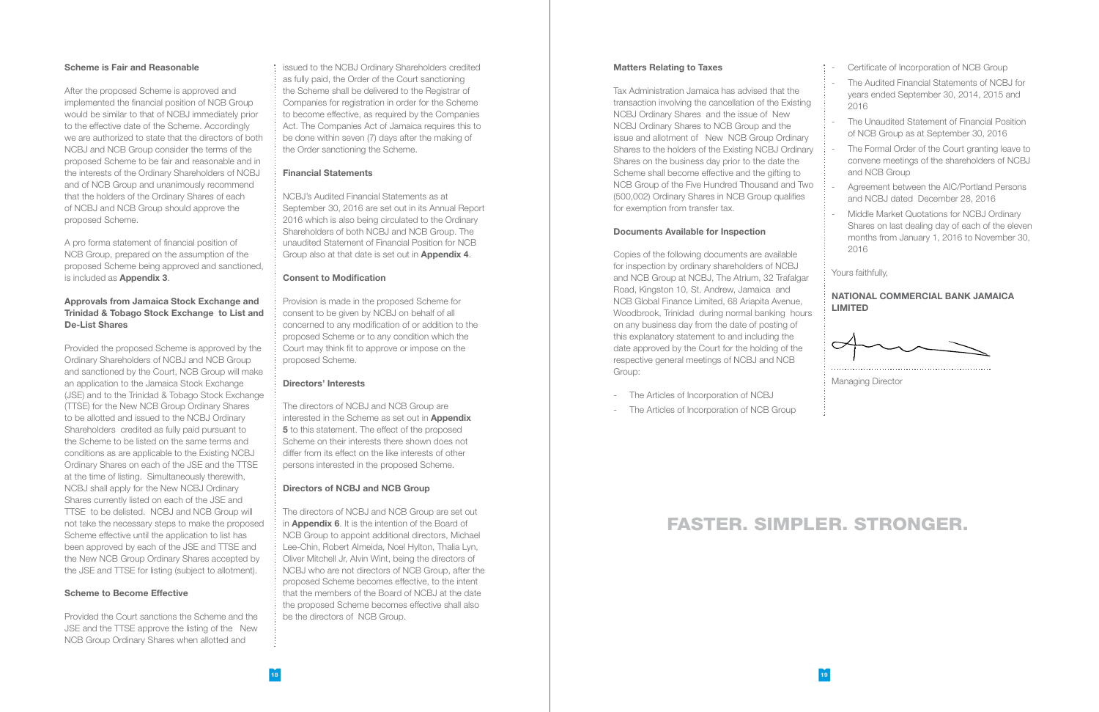#### Scheme is Fair and Reasonable

After the proposed Scheme is approved and implemented the financial position of NCB Group would be similar to that of NCBJ immediately prior to the effective date of the Scheme. Accordingly we are authorized to state that the directors of both NCBJ and NCB Group consider the terms of the proposed Scheme to be fair and reasonable and in the interests of the Ordinary Shareholders of NCBJ and of NCB Group and unanimously recommend that the holders of the Ordinary Shares of each of NCBJ and NCB Group should approve the proposed Scheme.

A pro forma statement of financial position of NCB Group, prepared on the assumption of the proposed Scheme being approved and sanctioned, is included as Appendix 3.

#### Approvals from Jamaica Stock Exchange and Trinidad & Tobago Stock Exchange to List and De-List Shares

Provided the proposed Scheme is approved by the Ordinary Shareholders of NCBJ and NCB Group and sanctioned by the Court, NCB Group will make an application to the Jamaica Stock Exchange (JSE) and to the Trinidad & Tobago Stock Exchange (TTSE) for the New NCB Group Ordinary Shares to be allotted and issued to the NCBJ Ordinary Shareholders credited as fully paid pursuant to the Scheme to be listed on the same terms and conditions as are applicable to the Existing NCBJ Ordinary Shares on each of the JSE and the TTSE at the time of listing. Simultaneously therewith, NCBJ shall apply for the New NCBJ Ordinary Shares currently listed on each of the JSE and TTSE to be delisted. NCBJ and NCB Group will not take the necessary steps to make the proposed Scheme effective until the application to list has been approved by each of the JSE and TTSE and the New NCB Group Ordinary Shares accepted by the JSE and TTSE for listing (subject to allotment).

#### Scheme to Become Effective

Provided the Court sanctions the Scheme and the JSE and the TTSE approve the listing of the New NCB Group Ordinary Shares when allotted and

issued to the NCBJ Ordinary Shareholders credited as fully paid, the Order of the Court sanctioning the Scheme shall be delivered to the Registrar of Companies for registration in order for the Scheme to become effective, as required by the Companies Act. The Companies Act of Jamaica requires this to be done within seven (7) days after the making of the Order sanctioning the Scheme.

#### Financial Statements

NCBJ's Audited Financial Statements as at September 30, 2016 are set out in its Annual Report 2016 which is also being circulated to the Ordinary Shareholders of both NCBJ and NCB Group. The unaudited Statement of Financial Position for NCB Group also at that date is set out in Appendix 4.

#### Consent to Modification

Provision is made in the proposed Scheme for consent to be given by NCBJ on behalf of all concerned to any modification of or addition to the proposed Scheme or to any condition which the Court may think fit to approve or impose on the proposed Scheme.

#### Directors' Interests

The directors of NCBJ and NCB Group are interested in the Scheme as set out in **Appendix 5** to this statement. The effect of the proposed Scheme on their interests there shown does not differ from its effect on the like interests of other persons interested in the proposed Scheme.

#### Directors of NCBJ and NCB Group

The directors of NCBJ and NCB Group are set out in **Appendix 6.** It is the intention of the Board of NCB Group to appoint additional directors, Michael Lee-Chin, Robert Almeida, Noel Hylton, Thalia Lyn, Oliver Mitchell Jr, Alvin Wint, being the directors of NCBJ who are not directors of NCB Group, after the proposed Scheme becomes effective, to the intent that the members of the Board of NCBJ at the date the proposed Scheme becomes effective shall also be the directors of NCB Group.

#### Matters Relating to Taxes

Tax Administration Jamaica has advised that the transaction involving the cancellation of the Existing NCBJ Ordinary Shares and the issue of New NCBJ Ordinary Shares to NCB Group and the issue and allotment of New NCB Group Ordinary Shares to the holders of the Existing NCBJ Ordinary Shares on the business day prior to the date the Scheme shall become effective and the gifting to NCB Group of the Five Hundred Thousand and Two (500,002) Ordinary Shares in NCB Group qualifies for exemption from transfer tax.

#### Documents Available for Inspection

Copies of the following documents are available for inspection by ordinary shareholders of NCBJ and NCB Group at NCBJ, The Atrium, 32 Trafalgar Road, Kingston 10, St. Andrew, Jamaica and NCB Global Finance Limited, 68 Ariapita Avenue, Woodbrook, Trinidad during normal banking hours on any business day from the date of posting of this explanatory statement to and including the date approved by the Court for the holding of the respective general meetings of NCBJ and NCB Group:

- The Articles of Incorporation of NCBJ
- The Articles of Incorporation of NCB Group

- Certificate of Incorporation of NCB Group
- The Audited Financial Statements of NCBJ for years ended September 30, 2014, 2015 and 2016
	- The Unaudited Statement of Financial Position of NCB Group as at September 30, 2016
- The Formal Order of the Court granting leave to convene meetings of the shareholders of NCBJ and NCB Group
- Agreement between the AIC/Portland Persons and NCBJ dated December 28, 2016
- Middle Market Quotations for NCBJ Ordinary Shares on last dealing day of each of the eleven months from January 1, 2016 to November 30, 2016

Yours faithfully,

#### NATIONAL COMMERCIAL BANK JAMAICA LIMITED



Managing Director

### FASTER. SIMPLER. STRONGER.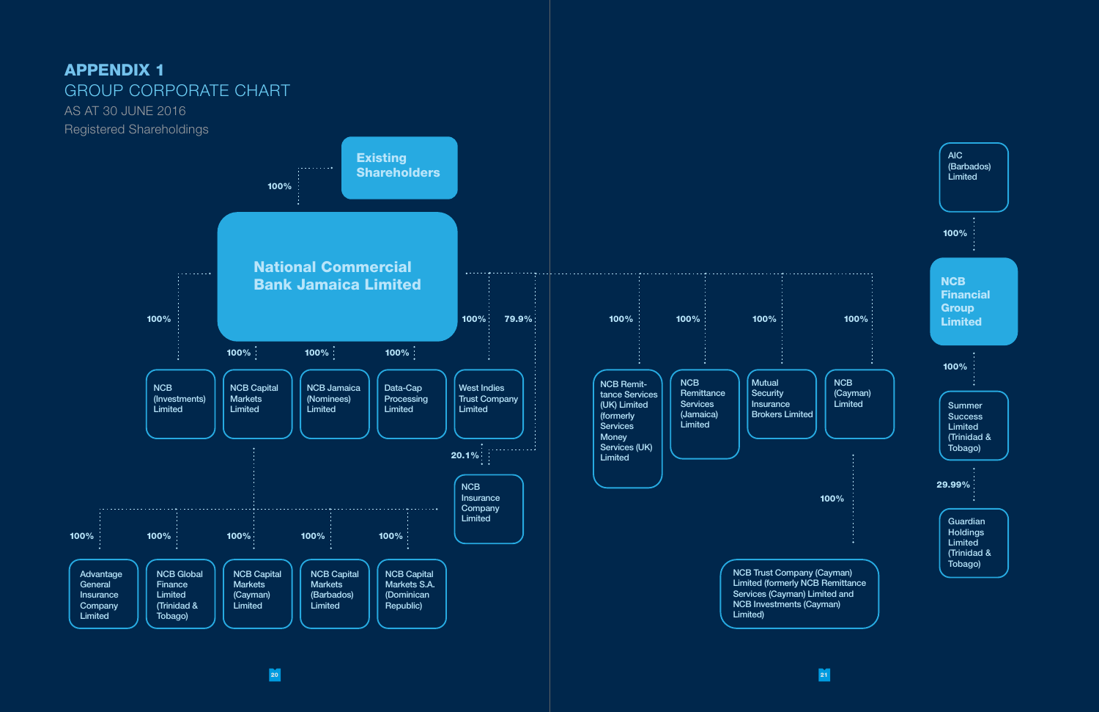

20 21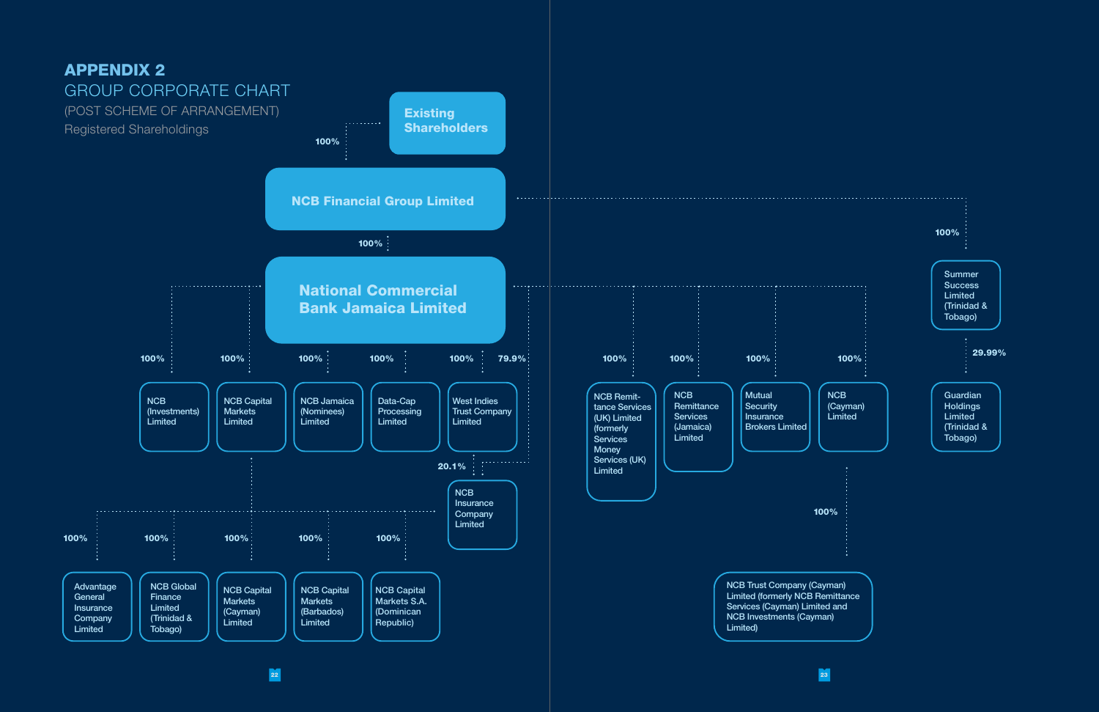

22 23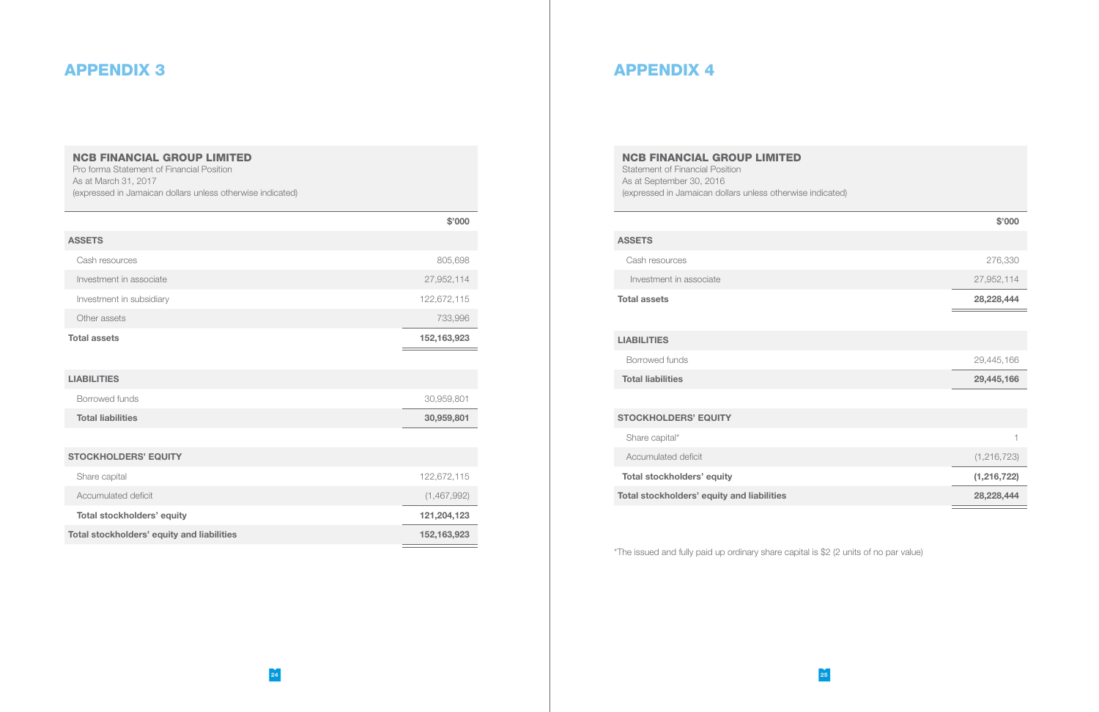#### APPENDIX 3

#### NCB FINANCIAL GROUP LIMITED

Pro forma Statement of Financial Position As at March 31, 2017 (expressed in Jamaican dollars unless otherwise indicated)

|                                            | \$'000        |
|--------------------------------------------|---------------|
| <b>ASSETS</b>                              |               |
| Cash resources                             | 805,698       |
| Investment in associate                    | 27,952,114    |
| Investment in subsidiary                   | 122,672,115   |
| Other assets                               | 733,996       |
| <b>Total assets</b>                        | 152, 163, 923 |
|                                            |               |
| <b>LIABILITIES</b>                         |               |
| Borrowed funds                             | 30,959,801    |
| <b>Total liabilities</b>                   | 30,959,801    |
|                                            |               |
| <b>STOCKHOLDERS' EQUITY</b>                |               |
| Share capital                              | 122,672,115   |
| Accumulated deficit                        | (1,467,992)   |
| <b>Total stockholders' equity</b>          | 121,204,123   |
| Total stockholders' equity and liabilities | 152, 163, 923 |

#### APPENDIX 4

#### NCB FINANCIAL GROUP LIMITED

Statement of Financial Position As at September 30, 2016 (expressed in Jamaican dollars unless otherwise indicated)

#### \$'000

#### ASSETS

Cash resources 276,330

Investment in associate 27,952,114

Total assets 28,228,444

 $\equiv$ 

#### LIABILITIES

Borrowed funds 29,445,166

Total liabilities 29,445,166

#### STOCKHOLDERS' EQUITY

Share capital\*

Accumulated deficit (1,216,723)

Total stockholders' equity (1,216,722)

Total stockholders' equity and liabilities 28,228,444

\*The issued and fully paid up ordinary share capital is \$2 (2 units of no par value)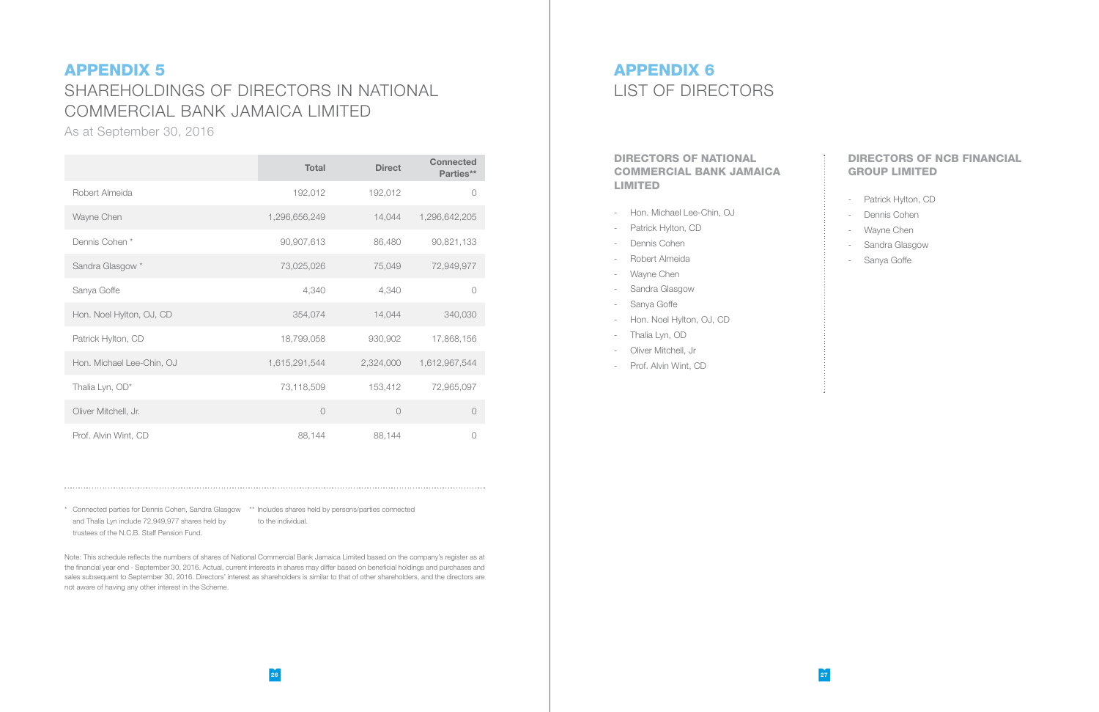### APPENDIX 5 SHAREHOLDINGS OF DIRECTORS IN NATIONAL COMMERCIAL BANK JAMAICA LIMITED

As at September 30, 2016

|                           | <b>Total</b>  | <b>Direct</b> | <b>Connected</b><br>Parties** |
|---------------------------|---------------|---------------|-------------------------------|
| Robert Almeida            | 192,012       | 192,012       | $\bigcirc$                    |
| Wayne Chen                | 1,296,656,249 | 14,044        | 1,296,642,205                 |
| Dennis Cohen*             | 90,907,613    | 86,480        | 90,821,133                    |
| Sandra Glasgow *          | 73,025,026    | 75,049        | 72,949,977                    |
| Sanya Goffe               | 4,340         | 4,340         | $\circ$                       |
| Hon. Noel Hylton, OJ, CD  | 354,074       | 14,044        | 340,030                       |
| Patrick Hylton, CD        | 18,799,058    | 930,902       | 17,868,156                    |
| Hon. Michael Lee-Chin, OJ | 1,615,291,544 | 2,324,000     | 1,612,967,544                 |
| Thalia Lyn, OD*           | 73,118,509    | 153,412       | 72,965,097                    |
| Oliver Mitchell, Jr.      | $\circ$       | $\bigcirc$    | $\circ$                       |
| Prof. Alvin Wint, CD      | 88,144        | 88,144        |                               |

\* Connected parties for Dennis Cohen, Sandra Glasgow \*\* Includes shares held by persons/parties connected and Thalia Lyn include 72,949,977 shares held by trustees of the N.C.B. Staff Pension Fund. to the individual.

Note: This schedule reflects the numbers of shares of National Commercial Bank Jamaica Limited based on the company's register as at the financial year end - September 30, 2016. Actual, current interests in shares may differ based on beneficial holdings and purchases and sales subsequent to September 30, 2016. Directors' interest as shareholders is similar to that of other shareholders, and the directors are not aware of having any other interest in the Scheme.

### APPENDIX 6 LIST OF DIRECTORS

#### DIRECTORS OF NATIONAL COMMERCIAL BANK JAMAICA LIMITED

- Hon. Michael Lee-Chin, OJ
- Patrick Hylton, CD
- Dennis Cohen
- Robert Almeida
- Wayne Chen
- Sandra Glasgow
- Sanya Goffe
- Hon. Noel Hylton, OJ, CD
- Thalia Lyn, OD
- Oliver Mitchell, Jr
- Prof. Alvin Wint, CD

#### DIRECTORS OF NCB FINANCIAL GROUP LIMITED

- Patrick Hylton, CD
- Dennis Cohen
- Wayne Chen
- Sandra Glasgow
- Sanya Goffe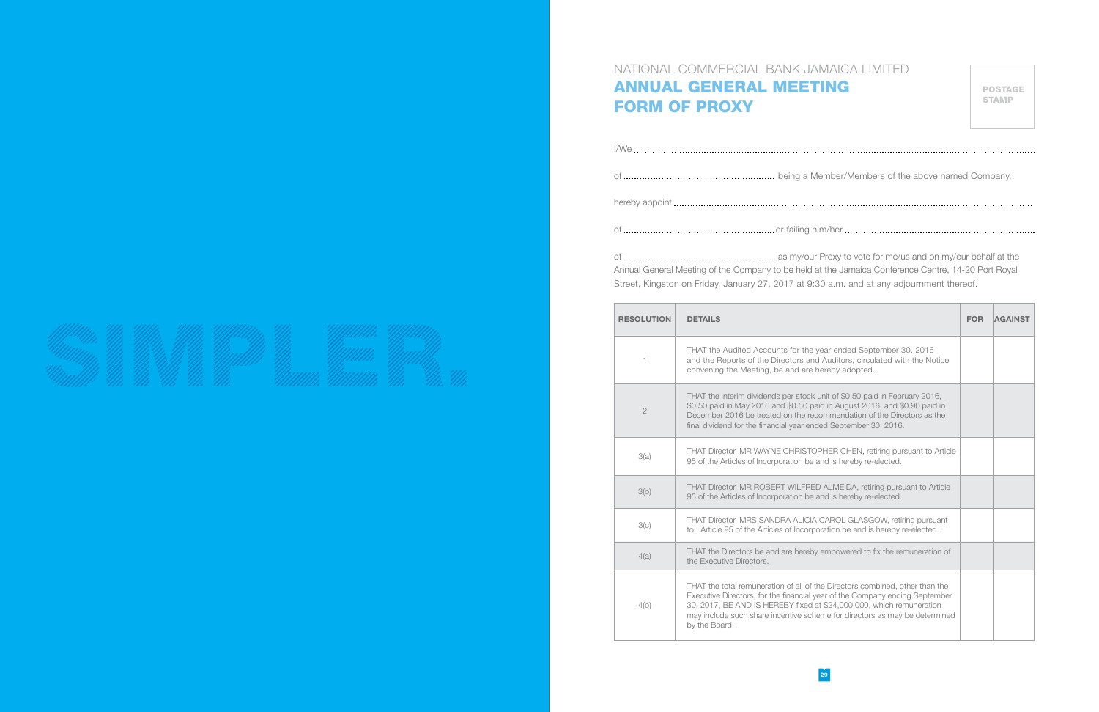#### NATIONAL COMMERCIAL BANK JAMAICA LIMITED ANNUAL GENERAL MEETING FORM OF PROXY

POSTAGE STAMP

I Member/Members of the above named Company,

of or failing him/her communications are constructed in the him  $h$ 

| Annual General Meeting of the Company to be held |
|--------------------------------------------------|

our Proxy to vote for me/us and on my/our behalf at the eld at the Jamaica Conference Centre, 14-20 Port Royal Street, Kingston on Friday, January 27, 2017 at 9:30 a.m. and at any adjournment thereof.

| <b>RESOLUTION</b> | <b>DETAILS</b>                                                                                                                                                                                                                                                                                                                     | <b>FOR</b> | <b>AGAINST</b> |
|-------------------|------------------------------------------------------------------------------------------------------------------------------------------------------------------------------------------------------------------------------------------------------------------------------------------------------------------------------------|------------|----------------|
| 1                 | THAT the Audited Accounts for the year ended September 30, 2016<br>and the Reports of the Directors and Auditors, circulated with the Notice<br>convening the Meeting, be and are hereby adopted.                                                                                                                                  |            |                |
| $\overline{2}$    | THAT the interim dividends per stock unit of \$0.50 paid in February 2016,<br>\$0.50 paid in May 2016 and \$0.50 paid in August 2016, and \$0.90 paid in<br>December 2016 be treated on the recommendation of the Directors as the<br>final dividend for the financial year ended September 30, 2016.                              |            |                |
| 3(a)              | THAT Director, MR WAYNE CHRISTOPHER CHEN, retiring pursuant to Article<br>95 of the Articles of Incorporation be and is hereby re-elected.                                                                                                                                                                                         |            |                |
| 3(b)              | THAT Director, MR ROBERT WILFRED ALMEIDA, retiring pursuant to Article<br>95 of the Articles of Incorporation be and is hereby re-elected.                                                                                                                                                                                         |            |                |
| 3(c)              | THAT Director, MRS SANDRA ALICIA CAROL GLASGOW, retiring pursuant<br>to Article 95 of the Articles of Incorporation be and is hereby re-elected.                                                                                                                                                                                   |            |                |
| 4(a)              | THAT the Directors be and are hereby empowered to fix the remuneration of<br>the Executive Directors.                                                                                                                                                                                                                              |            |                |
| 4(b)              | THAT the total remuneration of all of the Directors combined, other than the<br>Executive Directors, for the financial year of the Company ending September<br>30, 2017, BE AND IS HEREBY fixed at \$24,000,000, which remuneration<br>may include such share incentive scheme for directors as may be determined<br>by the Board. |            |                |

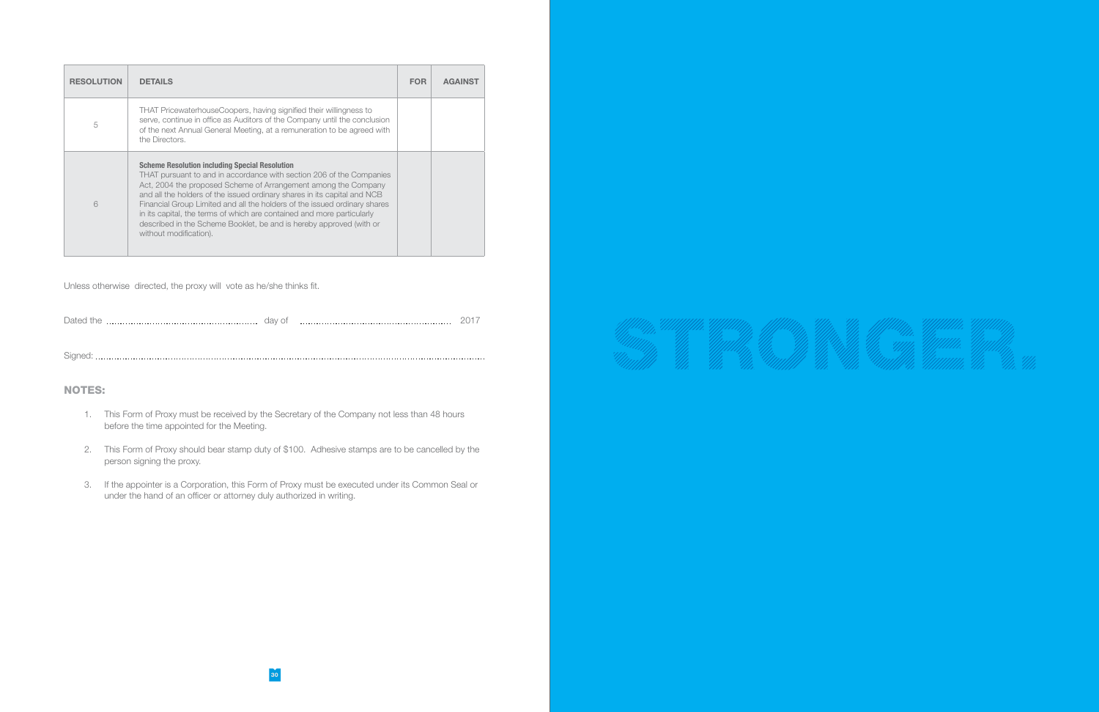| <b>RESOLUTION</b> | <b>DETAILS</b>                                                                                                                                                                                                                                                                                                                                                                                                                                                                                                                      | <b>FOR</b> | <b>AGAINST</b> |
|-------------------|-------------------------------------------------------------------------------------------------------------------------------------------------------------------------------------------------------------------------------------------------------------------------------------------------------------------------------------------------------------------------------------------------------------------------------------------------------------------------------------------------------------------------------------|------------|----------------|
| 5                 | THAT PricewaterhouseCoopers, having signified their willingness to<br>serve, continue in office as Auditors of the Company until the conclusion<br>of the next Annual General Meeting, at a remuneration to be agreed with<br>the Directors.                                                                                                                                                                                                                                                                                        |            |                |
| 6                 | <b>Scheme Resolution including Special Resolution</b><br>THAT pursuant to and in accordance with section 206 of the Companies<br>Act, 2004 the proposed Scheme of Arrangement among the Company<br>and all the holders of the issued ordinary shares in its capital and NCB<br>Financial Group Limited and all the holders of the issued ordinary shares<br>in its capital, the terms of which are contained and more particularly<br>described in the Scheme Booklet, be and is hereby approved (with or<br>without modification). |            |                |

Unless otherwise directed, the proxy will vote as he/she thinks fit.

| . )ater | aav<br>◡ |  |
|---------|----------|--|
|         |          |  |

Signed:

#### NOTES:

- 1. This Form of Proxy must be received by the Secretary of the Company not less than 48 hours before the time appointed for the Meeting.
- 2. This Form of Proxy should bear stamp duty of \$100. Adhesive stamps are to be cancelled by the person signing the proxy.
- 3. If the appointer is a Corporation, this Form of Proxy must be executed under its Common Seal or under the hand of an officer or attorney duly authorized in writing.